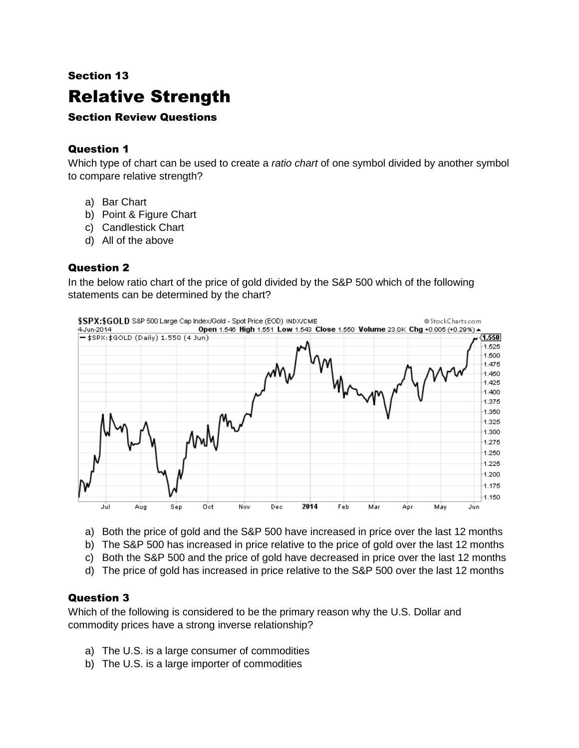## Section 13

# Relative Strength

#### Section Review Questions

### Question 1

Which type of chart can be used to create a *ratio chart* of one symbol divided by another symbol to compare relative strength?

- a) Bar Chart
- b) Point & Figure Chart
- c) Candlestick Chart
- d) All of the above

#### Question 2

In the below ratio chart of the price of gold divided by the S&P 500 which of the following statements can be determined by the chart?



- a) Both the price of gold and the S&P 500 have increased in price over the last 12 months
- b) The S&P 500 has increased in price relative to the price of gold over the last 12 months
- c) Both the S&P 500 and the price of gold have decreased in price over the last 12 months
- d) The price of gold has increased in price relative to the S&P 500 over the last 12 months

#### Question 3

Which of the following is considered to be the primary reason why the U.S. Dollar and commodity prices have a strong inverse relationship?

- a) The U.S. is a large consumer of commodities
- b) The U.S. is a large importer of commodities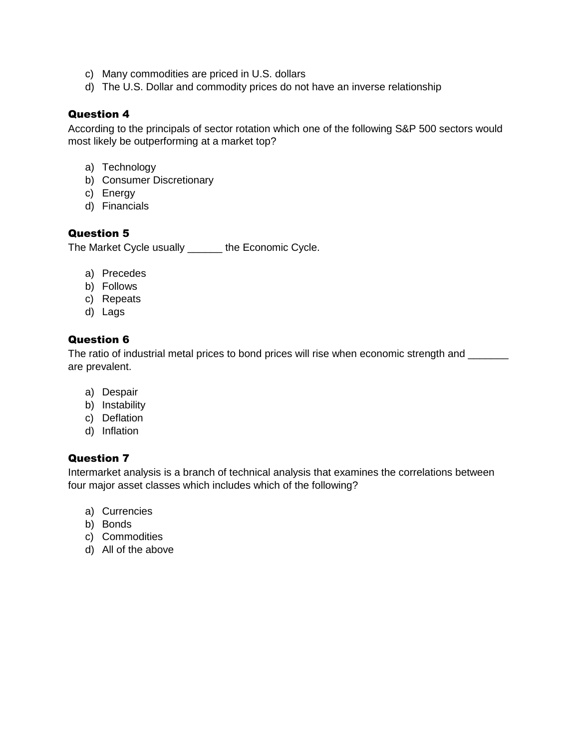- c) Many commodities are priced in U.S. dollars
- d) The U.S. Dollar and commodity prices do not have an inverse relationship

#### Question 4

According to the principals of sector rotation which one of the following S&P 500 sectors would most likely be outperforming at a market top?

- a) Technology
- b) Consumer Discretionary
- c) Energy
- d) Financials

#### Question 5

The Market Cycle usually \_\_\_\_\_\_ the Economic Cycle.

- a) Precedes
- b) Follows
- c) Repeats
- d) Lags

#### Question 6

The ratio of industrial metal prices to bond prices will rise when economic strength and \_\_\_\_\_\_ are prevalent.

- a) Despair
- b) Instability
- c) Deflation
- d) Inflation

#### Question 7

Intermarket analysis is a branch of technical analysis that examines the correlations between four major asset classes which includes which of the following?

- a) Currencies
- b) Bonds
- c) Commodities
- d) All of the above